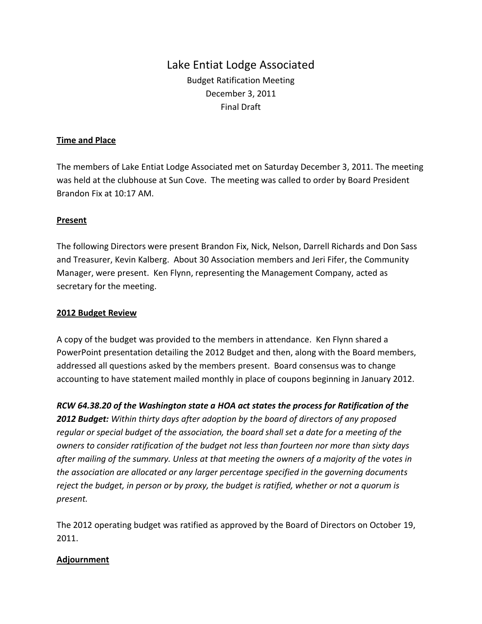# Lake Entiat Lodge Associated Budget Ratification Meeting December 3, 2011 Final Draft

### **Time and Place**

The members of Lake Entiat Lodge Associated met on Saturday December 3, 2011. The meeting was held at the clubhouse at Sun Cove. The meeting was called to order by Board President Brandon Fix at 10:17 AM.

#### **Present**

The following Directors were present Brandon Fix, Nick, Nelson, Darrell Richards and Don Sass and Treasurer, Kevin Kalberg. About 30 Association members and Jeri Fifer, the Community Manager, were present. Ken Flynn, representing the Management Company, acted as secretary for the meeting.

#### **2012 Budget Review**

A copy of the budget was provided to the members in attendance. Ken Flynn shared a PowerPoint presentation detailing the 2012 Budget and then, along with the Board members, addressed all questions asked by the members present. Board consensus was to change accounting to have statement mailed monthly in place of coupons beginning in January 2012.

*RCW 64.38.20 of the Washington state a HOA act states the process for Ratification of the 2012 Budget: Within thirty days after adoption by the board of directors of any proposed regular or special budget of the association, the board shall set a date for a meeting of the owners to consider ratification of the budget not less than fourteen nor more than sixty days after mailing of the summary. Unless at that meeting the owners of a majority of the votes in the association are allocated or any larger percentage specified in the governing documents reject the budget, in person or by proxy, the budget is ratified, whether or not a quorum is present.* 

The 2012 operating budget was ratified as approved by the Board of Directors on October 19, 2011.

## **Adjournment**